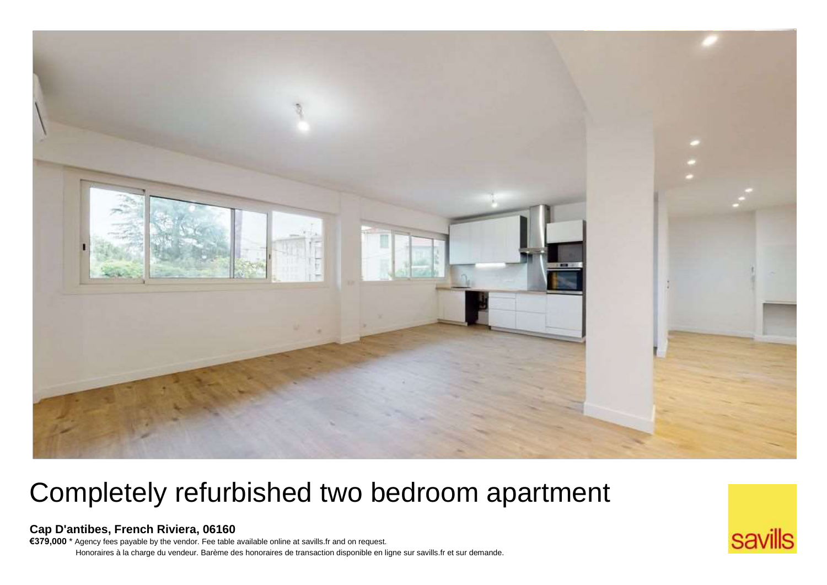

# Completely refurbished two bedroom apartment

## **Cap D'antibes, French Riviera, 06160**

**€379,000** \* Agency fees payable by the vendor. Fee table available online at savills.fr and on request. Honoraires à la charge du vendeur. Barème des honoraires de transaction disponible en ligne sur savills.fr et sur demande.

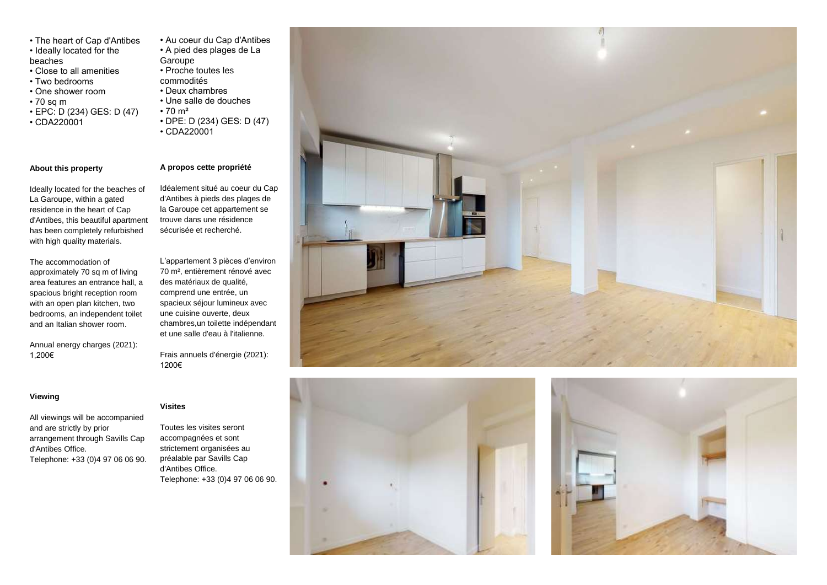- The heart of Cap d'Antibes • Ideally located for the beaches
- Close to all amenities
- Two bedrooms
- One shower room
- $\cdot$  70 sq m
- EPC: D (234) GES: D (47)
- CDA220001
- **About this property**

Ideally located for the beaches of La Garoupe, within a gated residence in the heart of Cap d'Antibes, this beautiful apartment has been completely refurbished with high quality materials.

The accommodation of approximately 70 sq m of living area features an entrance hall, a spacious bright reception room with an open plan kitchen, two bedrooms, an independent toilet and an Italian shower room.

Annual energy charges (2021): 1,200€

#### **Viewing**

All viewings will be accompanied and are strictly by prior arrangement through Savills Cap d'Antibes Office. Telephone: +33 (0)4 97 06 06 90.

### • Au coeur du Cap d'Antibes • A pied des plages de La **Garoupe** • Proche toutes les commodités

- Deux chambres
- Une salle de douches
- $70 m<sup>2</sup>$ 
	- DPE: D (234) GES: D (47) • CDA220001

#### **A propos cette propriété**

Idéalement situé au coeur du Cap d'Antibes à pieds des plages de la Garoupe cet appartement se trouve dans une résidence sécurisée et recherché.

L'appartement 3 pièces d'environ 70 m², entièrement rénové avec des matériaux de qualité, comprend une entrée, un spacieux séjour lumineux avec une cuisine ouverte, deux chambres,un toilette indépendant et une salle d'eau à l'italienne.

Frais annuels d'énergie (2021): 1200€





Toutes les visites seront accompagnées et sont strictement organisées au préalable par Savills Cap d'Antibes Office. Telephone: +33 (0)4 97 06 06 90.





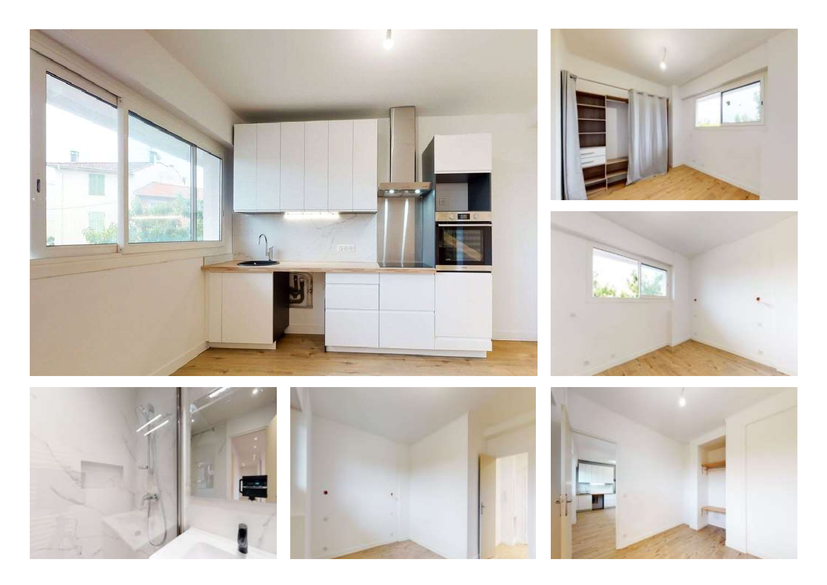